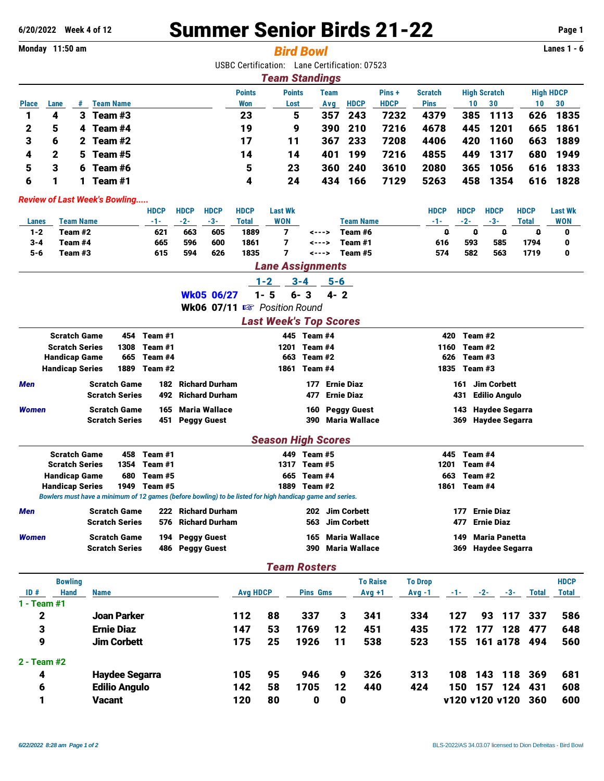## **6/20/2022 Week 4 of 12** Summer Senior Birds 21-22 **Page 1**

| Monday 11:50 am                      |                        |                                              |                       |                       |                                                                                                          |                 |                           |                      |                               | <b>Bird Bowl</b>              |             |                                               |             |                |      |                        |                       |                    | Lanes $1 - 6$    |
|--------------------------------------|------------------------|----------------------------------------------|-----------------------|-----------------------|----------------------------------------------------------------------------------------------------------|-----------------|---------------------------|----------------------|-------------------------------|-------------------------------|-------------|-----------------------------------------------|-------------|----------------|------|------------------------|-----------------------|--------------------|------------------|
|                                      |                        |                                              |                       |                       |                                                                                                          |                 |                           |                      |                               |                               |             | USBC Certification: Lane Certification: 07523 |             |                |      |                        |                       |                    |                  |
|                                      |                        |                                              |                       |                       |                                                                                                          |                 |                           |                      | <b>Team Standings</b>         |                               |             |                                               |             |                |      |                        |                       |                    |                  |
|                                      |                        |                                              |                       |                       |                                                                                                          |                 |                           | <b>Points</b>        | <b>Points</b>                 |                               | <b>Team</b> |                                               | Pins+       | <b>Scratch</b> |      |                        | <b>High Scratch</b>   |                    | <b>High HDCP</b> |
| <b>Place</b>                         | Lane                   |                                              | # Team Name           |                       |                                                                                                          |                 |                           | Won                  | Lost                          |                               | Avg         | <b>HDCP</b>                                   | <b>HDCP</b> | <b>Pins</b>    |      | 10                     | 30                    | 10                 | 30               |
| 1                                    | 4                      |                                              | 3 Team #3             |                       |                                                                                                          |                 |                           | 23                   |                               | 5                             | 357         | 243                                           | 7232        | 4379           |      | 385                    | 1113                  | 626                | 1835             |
| 2                                    | 5                      |                                              | 4 Team #4             |                       |                                                                                                          |                 |                           | 19                   |                               | 9                             | 390         | 210                                           | 7216        | 4678           |      | 445                    | 1201                  | 665                | 1861             |
| 3                                    | 6                      |                                              | 2 Team $#2$           |                       |                                                                                                          |                 |                           | 17                   | 11                            |                               | 367         | 233                                           | 7208        | 4406           |      | 420                    | 1160                  | 663                | 1889             |
| 4                                    | 2                      | 5                                            | Team #5               |                       |                                                                                                          |                 |                           | 14                   | 14                            |                               | 401         | 199                                           | 7216        | 4855           |      | 449                    | 1317                  | 680                | 1949             |
| 5                                    | 3                      | 6                                            | Team #6               |                       |                                                                                                          |                 |                           | 5                    | 23                            |                               | 360         | 240                                           | 3610        | 2080           |      | 365                    | 1056                  | 616                | 1833             |
| 6                                    | 1                      |                                              | 1 Team $#1$           |                       |                                                                                                          |                 |                           | 4                    | 24                            |                               | 434         | 166                                           | 7129        | 5263           |      | 458                    | 1354                  | 616                | 1828             |
| <b>Review of Last Week's Bowling</b> |                        |                                              |                       |                       |                                                                                                          |                 |                           |                      |                               |                               |             |                                               |             |                |      |                        |                       |                    |                  |
|                                      |                        |                                              |                       |                       | <b>HDCP</b>                                                                                              | <b>HDCP</b>     | <b>HDCP</b>               | <b>HDCP</b>          | <b>Last Wk</b>                |                               |             |                                               |             | <b>HDCP</b>    |      | <b>HDCP</b>            | <b>HDCP</b>           | <b>HDCP</b>        | <b>Last Wk</b>   |
| Lanes<br>$1 - 2$                     |                        | <b>Team Name</b><br>Team #2                  |                       |                       | -1-<br>621                                                                                               | $-2-$<br>663    | $-3-$<br>605              | <b>Total</b><br>1889 | <b>WON</b><br>7               | <--->                         |             | <b>Team Name</b><br>Team #6                   |             | -1-            | 0    | $-2-$<br>0             | $-3-$<br>0            | <b>Total</b><br>0  | <b>WON</b><br>0  |
| 3-4                                  |                        | Team #4                                      |                       |                       | 665                                                                                                      | 596             | 600                       | 1861                 | 7                             | <--->                         |             | Team #1                                       |             |                | 616  | 593                    | 585                   | 1794               | 0                |
| 5-6                                  |                        | Team #3                                      |                       |                       | 615                                                                                                      | 594             | 626                       | 1835                 | 7                             | <--->                         |             | Team #5                                       |             |                | 574  | 582                    | 563                   | 1719               | 0                |
|                                      |                        |                                              |                       |                       |                                                                                                          |                 |                           |                      | <b>Lane Assignments</b>       |                               |             |                                               |             |                |      |                        |                       |                    |                  |
|                                      |                        |                                              |                       |                       |                                                                                                          |                 |                           |                      | $1 - 2$                       | $3 - 4$                       |             | 5-6                                           |             |                |      |                        |                       |                    |                  |
|                                      |                        |                                              |                       |                       |                                                                                                          |                 | <b>Wk05 06/27</b>         |                      | $1 - 5$                       | $\overline{\mathbf{3}}$<br>6- | $4 - 2$     |                                               |             |                |      |                        |                       |                    |                  |
|                                      |                        |                                              |                       |                       |                                                                                                          |                 |                           |                      | Wk06 07/11 B Position Round   |                               |             |                                               |             |                |      |                        |                       |                    |                  |
|                                      |                        |                                              |                       |                       |                                                                                                          |                 |                           |                      | <b>Last Week's Top Scores</b> |                               |             |                                               |             |                |      |                        |                       |                    |                  |
|                                      |                        | <b>Scratch Game</b>                          |                       | 454                   | Team #1                                                                                                  |                 |                           |                      |                               | 445 Team #4                   |             |                                               |             |                | 420  | Team #2                |                       |                    |                  |
|                                      |                        | <b>Scratch Series</b>                        |                       | 1308                  | Team #1                                                                                                  |                 |                           |                      | 1201                          | Team #4                       |             |                                               |             |                | 1160 | Team #2                |                       |                    |                  |
|                                      | <b>Handicap Game</b>   |                                              |                       | 665                   | Team #4                                                                                                  |                 |                           |                      | 663                           | Team #2                       |             |                                               |             |                | 626  | Team #3                |                       |                    |                  |
|                                      | <b>Handicap Series</b> |                                              |                       | 1889                  | Team #2                                                                                                  |                 |                           |                      | 1861                          | Team #4                       |             |                                               |             |                | 1835 | Team #3                |                       |                    |                  |
| Men                                  |                        |                                              | <b>Scratch Game</b>   |                       |                                                                                                          |                 | <b>182 Richard Durham</b> |                      |                               | 177                           |             | <b>Ernie Diaz</b>                             |             |                |      | 161                    | <b>Jim Corbett</b>    |                    |                  |
|                                      |                        |                                              | <b>Scratch Series</b> |                       | 492                                                                                                      |                 | <b>Richard Durham</b>     |                      |                               | 477                           |             | <b>Ernie Diaz</b>                             |             |                | 431  |                        | <b>Edilio Angulo</b>  |                    |                  |
| Women                                |                        |                                              | <b>Scratch Game</b>   |                       | 165                                                                                                      |                 | <b>Maria Wallace</b>      |                      |                               | 160                           |             | <b>Peggy Guest</b><br>390 Maria Wallace       |             |                | 143  |                        | <b>Haydee Segarra</b> |                    |                  |
|                                      |                        |                                              | <b>Scratch Series</b> |                       | 451                                                                                                      |                 | <b>Peggy Guest</b>        |                      |                               |                               |             |                                               |             |                | 369  |                        | <b>Haydee Segarra</b> |                    |                  |
|                                      |                        |                                              |                       |                       |                                                                                                          |                 |                           |                      | <b>Season High Scores</b>     |                               |             |                                               |             |                |      |                        |                       |                    |                  |
|                                      |                        | <b>Scratch Game</b><br><b>Scratch Series</b> |                       | 458<br>1354           | Team #1<br>Team #1                                                                                       |                 |                           |                      | 1317                          | 449 Team #5<br>Team #5        |             |                                               |             |                | 1201 | 445 Team #4<br>Team #4 |                       |                    |                  |
|                                      | Handicap Game          |                                              |                       | 680                   | Team #5                                                                                                  |                 |                           |                      | 665                           | Team #4                       |             |                                               |             |                | 663  | Team #2                |                       |                    |                  |
|                                      | <b>Handicap Series</b> |                                              |                       |                       | 1949 Team #5                                                                                             |                 |                           |                      |                               | 1889 Team #2                  |             |                                               |             |                |      | 1861 Team #4           |                       |                    |                  |
|                                      |                        |                                              |                       |                       | Bowlers must have a minimum of 12 games (before bowling) to be listed for high handicap game and series. |                 |                           |                      |                               |                               |             |                                               |             |                |      |                        |                       |                    |                  |
| Men                                  |                        |                                              | <b>Scratch Game</b>   |                       |                                                                                                          |                 | 222 Richard Durham        |                      |                               |                               |             | 202 Jim Corbett                               |             |                |      | 177                    | <b>Ernie Diaz</b>     |                    |                  |
|                                      |                        |                                              | <b>Scratch Series</b> |                       |                                                                                                          |                 | 576 Richard Durham        |                      |                               | 563                           |             | <b>Jim Corbett</b>                            |             |                | 477  |                        | <b>Ernie Diaz</b>     |                    |                  |
| Women                                |                        |                                              | <b>Scratch Game</b>   |                       |                                                                                                          | 194 Peggy Guest |                           |                      |                               | 165                           |             | Maria Wallace                                 |             |                |      |                        | 149 Maria Panetta     |                    |                  |
|                                      |                        |                                              | <b>Scratch Series</b> |                       |                                                                                                          | 486 Peggy Guest |                           |                      |                               |                               |             | 390 Maria Wallace                             |             |                |      |                        | 369 Haydee Segarra    |                    |                  |
|                                      |                        |                                              |                       |                       |                                                                                                          |                 |                           |                      | <b>Team Rosters</b>           |                               |             |                                               |             |                |      |                        |                       |                    |                  |
|                                      |                        | <b>Bowling</b>                               |                       |                       |                                                                                                          |                 |                           |                      |                               |                               |             | <b>To Raise</b>                               |             | <b>To Drop</b> |      |                        |                       |                    | <b>HDCP</b>      |
| ID#                                  |                        | <b>Hand</b>                                  | <b>Name</b>           |                       |                                                                                                          |                 |                           | <b>Avg HDCP</b>      |                               | <b>Pins Gms</b>               |             | $Avg +1$                                      |             | $Avg -1$       |      |                        | $-1$ $-2$ $-3$ $-3$   | Total              | <b>Total</b>     |
| $1 - Team #1$                        |                        |                                              |                       |                       |                                                                                                          |                 |                           |                      |                               |                               |             |                                               |             |                |      |                        |                       |                    |                  |
| 2                                    |                        |                                              |                       | <b>Joan Parker</b>    |                                                                                                          |                 |                           | 112                  | 88                            | 337                           |             | 341<br>3                                      |             | 334            | 127  |                        | 93<br>117             | 337                | 586              |
| 3                                    |                        |                                              | <b>Ernie Diaz</b>     |                       |                                                                                                          |                 |                           | 147                  | 53                            | 1769                          |             | 451<br>12                                     |             | 435            | 172  |                        | 177<br>128            | 477                | 648              |
| 9                                    |                        |                                              |                       | <b>Jim Corbett</b>    |                                                                                                          |                 |                           | 175                  | 25                            | 1926                          |             | 11<br>538                                     |             | 523            | 155  |                        | 161 a178              | 494                | 560              |
| $2 - Team #2$                        |                        |                                              |                       |                       |                                                                                                          |                 |                           |                      |                               |                               |             |                                               |             |                |      |                        |                       |                    |                  |
| 4                                    |                        |                                              |                       | <b>Haydee Segarra</b> |                                                                                                          |                 |                           | 105                  | 95                            | 946                           |             | 326<br>9                                      |             | 313            | 108  |                        | 143 118               | 369                | 681              |
| 6                                    |                        |                                              |                       | <b>Edilio Angulo</b>  |                                                                                                          |                 |                           | 142                  | 58                            | 1705                          |             | 12<br>440                                     |             | 424            |      |                        | 150 157 124           | 431                | 608              |
| 1                                    |                        |                                              | <b>Vacant</b>         |                       |                                                                                                          |                 |                           | 120                  | 80                            | $\mathbf 0$                   |             | $\mathbf 0$                                   |             |                |      |                        |                       | v120 v120 v120 360 | 600              |